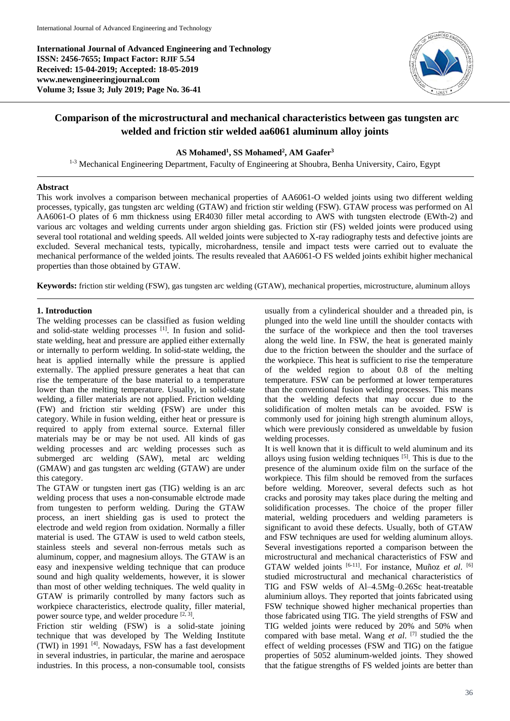**International Journal of Advanced Engineering and Technology ISSN: 2456-7655; Impact Factor: RJIF 5.54 Received: 15-04-2019; Accepted: 18-05-2019 www.newengineeringjournal.com Volume 3; Issue 3; July 2019; Page No. 36-41**



# **Comparison of the microstructural and mechanical characteristics between gas tungsten arc welded and friction stir welded aa6061 aluminum alloy joints**

**AS Mohamed<sup>1</sup> , SS Mohamed<sup>2</sup> , AM Gaafer<sup>3</sup>**

<sup>1-3</sup> Mechanical Engineering Department, Faculty of Engineering at Shoubra, Benha University, Cairo, Egypt

#### **Abstract**

This work involves a comparison between mechanical properties of AA6061-O welded joints using two different welding processes, typically, gas tungsten arc welding (GTAW) and friction stir welding (FSW). GTAW process was performed on Al AA6061-O plates of 6 mm thickness using ER4030 filler metal according to AWS with tungsten electrode (EWth-2) and various arc voltages and welding currents under argon shielding gas. Friction stir (FS) welded joints were produced using several tool rotational and welding speeds. All welded joints were subjected to X-ray radiography tests and defective joints are excluded. Several mechanical tests, typically, microhardness, tensile and impact tests were carried out to evaluate the mechanical performance of the welded joints. The results revealed that AA6061-O FS welded joints exhibit higher mechanical properties than those obtained by GTAW.

**Keywords:** friction stir welding (FSW), gas tungsten arc welding (GTAW), mechanical properties, microstructure, aluminum alloys

## **1. Introduction**

The welding processes can be classified as fusion welding and solid-state welding processes [1]. In fusion and solidstate welding, heat and pressure are applied either externally or internally to perform welding. In solid-state welding, the heat is applied internally while the pressure is applied externally. The applied pressure generates a heat that can rise the temperature of the base material to a temperature lower than the melting temperature. Usually, in solid-state welding, a filler materials are not applied. Friction welding (FW) and friction stir welding (FSW) are under this category. While in fusion welding, either heat or pressure is required to apply from external source. External filler materials may be or may be not used. All kinds of gas welding processes and arc welding processes such as submerged arc welding (SAW), metal arc welding (GMAW) and gas tungsten arc welding (GTAW) are under this category.

The GTAW or tungsten inert gas (TIG) welding is an arc welding process that uses a non-consumable elctrode made from tungesten to perform welding. During the GTAW process, an inert shielding gas is used to protect the electrode and weld region from oxidation. Normally a filler material is used. The GTAW is used to weld catbon steels, stainless steels and several non-ferrous metals such as aluminum, copper, and magnesium alloys. The GTAW is an easy and inexpensive welding technique that can produce sound and high quality weldements, however, it is slower than most of other welding techniques. The weld quality in GTAW is primarily controlled by many factors such as workpiece characteristics, electrode quality, filler material, power source type, and welder procedure [2, 3].

Friction stir welding (FSW) is a solid-state joining technique that was developed by The Welding Institute (TWI) in 1991 [4]. Nowadays, FSW has a fast development in several industries, in particular, the marine and aerospace industries. In this process, a non-consumable tool, consists

usually from a cylinderical shoulder and a threaded pin, is plunged into the weld line untill the shoulder contacts with the surface of the workpiece and then the tool traverses along the weld line. In FSW, the heat is generated mainly due to the friction between the shoulder and the surface of the workpiece. This heat is sufficient to rise the temperature of the welded region to about 0.8 of the melting temperature. FSW can be performed at lower temperatures than the conventional fusion welding processes. This means that the welding defects that may occur due to the solidification of molten metals can be avoided. FSW is commonly used for joining high strength aluminum alloys, which were previously considered as unweldable by fusion welding processes.

It is well known that it is difficult to weld aluminum and its alloys using fusion welding techniques [5]. This is due to the presence of the aluminum oxide film on the surface of the workpiece. This film should be removed from the surfaces before welding. Moreover, several defects such as hot cracks and porosity may takes place during the melting and solidification processes. The choice of the proper filler material, welding proceduers and welding parameters is significant to avoid these defects. Usually, both of GTAW and FSW techniques are used for welding aluminum alloys. Several investigations reported a comparison between the microstructural and mechanical characteristics of FSW and GTAW welded joints <sup>[6-11]</sup>. For instance, Muñoz et al. <sup>[6]</sup> studied microstructural and mechanical characteristics of TIG and FSW welds of Al–4.5Mg–0.26Sc heat-treatable aluminium alloys. They reported that joints fabricated using FSW technique showed higher mechanical properties than those fabricated using TIG. The yield strengths of FSW and TIG welded joints were reduced by 20% and 50% when compared with base metal. Wang *et al*. [7] studied the the effect of welding processes (FSW and TIG) on the fatigue properties of 5052 aluminum-welded joints. They showed that the fatigue strengths of FS welded joints are better than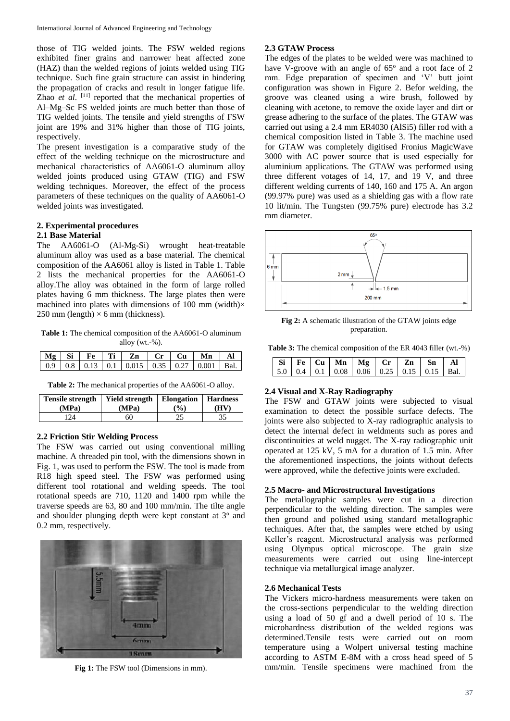those of TIG welded joints. The FSW welded regions exhibited finer grains and narrower heat affected zone (HAZ) than the welded regions of joints welded using TIG technique. Such fine grain structure can assist in hindering the propagation of cracks and result in longer fatigue life. Zhao *et al.* <sup>[11]</sup> reported that the mechanical properties of Al–Mg–Sc FS welded joints are much better than those of TIG welded joints. The tensile and yield strengths of FSW joint are 19% and 31% higher than those of TIG joints, respectively.

The present investigation is a comparative study of the effect of the welding technique on the microstructure and mechanical characteristics of AA6061-O aluminum alloy welded joints produced using GTAW (TIG) and FSW welding techniques. Moreover, the effect of the process parameters of these techniques on the quality of AA6061-O welded joints was investigated.

# **2. Experimental procedures**

#### **2.1 Base Material**

The AA6061-O (Al-Mg-Si) wrought heat-treatable aluminum alloy was used as a base material. The chemical composition of the AA6061 alloy is listed in Table 1. Table 2 lists the mechanical properties for the AA6061-O alloy.The alloy was obtained in the form of large rolled plates having 6 mm thickness. The large plates then were machined into plates with dimensions of 100 mm (width) $\times$ 250 mm (length)  $\times$  6 mm (thickness).

**Table 1:** The chemical composition of the AA6061-O aluminum alloy (wt.-%).

|  |  | $\vert$ Mg $\vert$ Si $\vert$ Fe $\vert$ Ti $\vert$ Zn $\vert$ Cr $\vert$ Cu $\vert$ Mn |  | Al |
|--|--|-----------------------------------------------------------------------------------------|--|----|
|  |  | 0.9   0.8   0.13   0.1   0.015   0.35   0.27   0.001   Bal.                             |  |    |

**Table 2:** The mechanical properties of the AA6061-O alloy.

| <b>Tensile strength</b> | Yield strength   Elongation | $\binom{0}{0}$ | <b>Hardness</b> |
|-------------------------|-----------------------------|----------------|-----------------|
| (MPa)                   | (MPa)                       |                | (HV)            |
| 24                      | 60                          |                |                 |

## **2.2 Friction Stir Welding Process**

The FSW was carried out using conventional milling machine. A threaded pin tool, with the dimensions shown in Fig. 1, was used to perform the FSW. The tool is made from R18 high speed steel. The FSW was performed using different tool rotational and welding speeds. The tool rotational speeds are 710, 1120 and 1400 rpm while the traverse speeds are 63, 80 and 100 mm/min. The tilte angle and shoulder plunging depth were kept constant at 3° and 0.2 mm, respectively.



**Fig 1:** The FSW tool (Dimensions in mm).

## **2.3 GTAW Process**

The edges of the plates to be welded were was machined to have V-groove with an angle of  $65^\circ$  and a root face of 2 mm. Edge preparation of specimen and 'V' butt joint configuration was shown in Figure 2. Befor welding, the groove was cleaned using a wire brush, followed by cleaning with acetone, to remove the oxide layer and dirt or grease adhering to the surface of the plates. The GTAW was carried out using a 2.4 mm ER4030 (AlSi5) filler rod with a chemical composition listed in Table 3. The machine used for GTAW was completely digitised Fronius MagicWave 3000 with AC power source that is used especially for aluminium applications. The GTAW was performed using three different votages of  $14$ ,  $17$ , and  $19$  V, and three different welding currents of 140, 160 and 175 A. An argon (99.97% pure) was used as a shielding gas with a flow rate 10 lit/min. The Tungsten (99.75% pure) electrode has 3.2 mm diameter.



**Fig 2:** A schematic illustration of the GTAW joints edge preparation.

**Table 3:** The chemical composition of the ER 4043 filler (wt.-%)

|  |  |  | Si   Fe   Cu   Mn   Mg   Cr   Zn   Sn   Al                |  |
|--|--|--|-----------------------------------------------------------|--|
|  |  |  | 5.0   0.4   0.1   0.08   0.06   0.25   0.15   0.15   Bal. |  |

## **2.4 Visual and X-Ray Radiography**

The FSW and GTAW joints were subjected to visual examination to detect the possible surface defects. The joints were also subjected to X-ray radiographic analysis to detect the internal defect in weldments such as pores and discontinuities at weld nugget. The X-ray radiographic unit operated at 125 kV, 5 mA for a duration of 1.5 min. After the aforementioned inspections, the joints without defects were approved, while the defective joints were excluded.

#### **2.5 Macro- and Microstructural Investigations**

The metallographic samples were cut in a direction perpendicular to the welding direction. The samples were then ground and polished using standard metallographic techniques. After that, the samples were etched by using Keller's reagent. Microstructural analysis was performed using Olympus optical microscope. The grain size measurements were carried out using line-intercept technique via metallurgical image analyzer.

#### **2.6 Mechanical Tests**

The Vickers micro-hardness measurements were taken on the cross-sections perpendicular to the welding direction using a load of 50 gf and a dwell period of 10 s. The microhardness distribution of the welded regions was determined.Tensile tests were carried out on room temperature using a Wolpert universal testing machine according to ASTM E-8M with a cross head speed of 5 mm/min. Tensile specimens were machined from the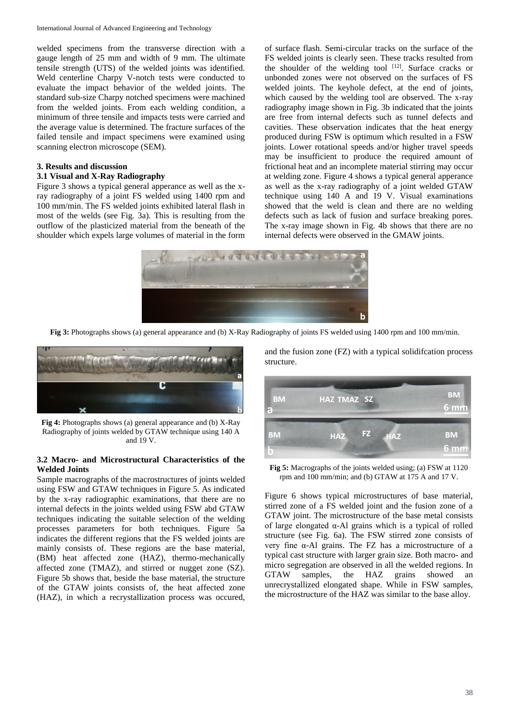welded specimens from the transverse direction with a gauge length of 25 mm and width of 9 mm. The ultimate tensile strength (UTS) of the welded joints was identified. Weld centerline Charpy V-notch tests were conducted to evaluate the impact behavior of the welded joints. The standard sub-size Charpy notched specimens were machined from the welded joints. From each welding condition, a minimum of three tensile and impacts tests were carried and the average value is determined. The fracture surfaces of the failed tensile and impact specimens were examined using scanning electron microscope (SEM).

## **3. Results and discussion**

## **3.1 Visual and X-Ray Radiography**

Figure 3 shows a typical general apperance as well as the xray radiography of a joint FS welded using 1400 rpm and 100 mm/min. The FS welded joints exhibited lateral flash in most of the welds (see Fig. 3a). This is resulting from the outflow of the plasticized material from the beneath of the shoulder which expels large volumes of material in the form

of surface flash. Semi-circular tracks on the surface of the FS welded joints is clearly seen. These tracks resulted from the shoulder of the welding tool  $[12]$ . Surface cracks or unbonded zones were not observed on the surfaces of FS welded joints. The keyhole defect, at the end of joints, which caused by the welding tool are observed. The x-ray radiography image shown in Fig. 3b indicated that the joints are free from internal defects such as tunnel defects and cavities. These observation indicates that the heat energy produced during FSW is optimum which resulted in a FSW joints. Lower rotational speeds and/or higher travel speeds may be insufficient to produce the required amount of frictional heat and an incomplete material stirring may occur at welding zone. Figure 4 shows a typical general apperance as well as the x-ray radiography of a joint welded GTAW technique using 140 A and 19 V. Visual examinations showed that the weld is clean and there are no welding defects such as lack of fusion and surface breaking pores. The x-ray image shown in Fig. 4b shows that there are no internal defects were observed in the GMAW joints.



**Fig 3:** Photographs shows (a) general appearance and (b) X-Ray Radiography of joints FS welded using 1400 rpm and 100 mm/min.



**Fig 4:** Photographs shows (a) general appearance and (b) X-Ray Radiography of joints welded by GTAW technique using 140 A and 19 V.

## **3.2 Macro- and Microstructural Characteristics of the Welded Joints**

Sample macrographs of the macrostructures of joints welded using FSW and GTAW techniques in Figure 5. As indicated by the x-ray radiographic examinations, that there are no internal defects in the joints welded using FSW abd GTAW techniques indicating the suitable selection of the welding processes parameters for both techniques. Figure 5a indicates the different regions that the FS welded joints are mainly consists of. These regions are the base material, (BM) heat affected zone (HAZ), thermo-mechanically affected zone (TMAZ), and stirred or nugget zone (SZ). Figure 5b shows that, beside the base material, the structure of the GTAW joints consists of, the heat affected zone (HAZ), in which a recrystallization process was occured,

and the fusion zone (FZ) with a typical solidifcation process structure.



**Fig 5:** Macrographs of the joints welded using; (a) FSW at 1120 rpm and 100 mm/min; and (b) GTAW at 175 A and 17 V.

Figure 6 shows typical microstructures of base material, stirred zone of a FS welded joint and the fusion zone of a GTAW joint. The microstructure of the base metal consists of large elongated α-Al grains which is a typical of rolled structure (see Fig. 6a). The FSW stirred zone consists of very fine α-Al grains. The FZ has a microstructure of a typical cast structure with larger grain size. Both macro- and micro segregation are observed in all the welded regions. In GTAW samples, the HAZ grains showed an unrecrystallized elongated shape. While in FSW samples, the microstructure of the HAZ was similar to the base alloy.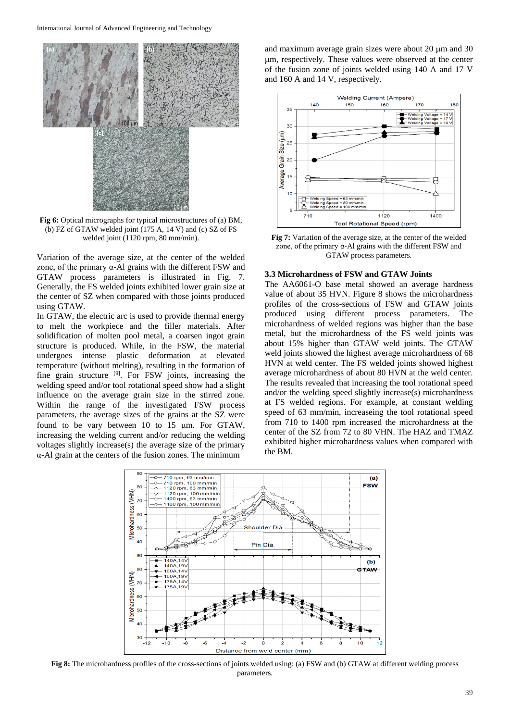

**Fig 6:** Optical micrographs for typical microstructures of (a) BM, (b) FZ of GTAW welded joint (175 A, 14 V) and (c) SZ of FS welded joint (1120 rpm, 80 mm/min).

Variation of the average size, at the center of the welded zone, of the primary α-Al grains with the different FSW and GTAW process parameters is illustrated in Fig. 7. Generally, the FS welded joints exhibited lower grain size at the center of SZ when compared with those joints produced using GTAW.

In GTAW, the electric arc is used to provide thermal energy to melt the workpiece and the filler materials. After solidification of molten pool metal, a coarsen ingot grain structure is produced. While, in the FSW, the material undergoes intense plastic deformation at elevated temperature (without melting), resulting in the formation of fine grain structure [9]. For FSW joints, increasing the welding speed and/or tool rotational speed show had a slight influence on the average grain size in the stirred zone. Within the range of the investigated FSW process parameters, the average sizes of the grains at the SZ were found to be vary between  $10$  to  $15 \mu m$ . For GTAW, increasing the welding current and/or reducing the welding voltages slightly increase(s) the average size of the primary α-Al grain at the centers of the fusion zones. The minimum

and maximum average grain sizes were about  $20 \mu m$  and  $30 \mu m$ m, respectively. These values were observed at the center of the fusion zone of joints welded using 140 A and 17 V and 160 A and 14 V, respectively.



**Fig 7:** Variation of the average size, at the center of the welded zone, of the primary α-Al grains with the different FSW and GTAW process parameters.

#### **3.3 Microhardness of FSW and GTAW Joints**

The AA6061-O base metal showed an average hardness value of about 35 HVN. Figure 8 shows the microhardness profiles of the cross-sections of FSW and GTAW joints produced using different process parameters. The microhardness of welded regions was higher than the base metal, but the microhardness of the FS weld joints was about 15% higher than GTAW weld joints. The GTAW weld joints showed the highest average microhardness of 68 HVN at weld center. The FS welded joints showed highest average microhardness of about 80 HVN at the weld center. The results revealed that increasing the tool rotational speed and/or the welding speed slightly increase(s) microhardness at FS welded regions. For example, at constant welding speed of 63 mm/min, increaseing the tool rotational speed from 710 to 1400 rpm increased the microhardness at the center of the SZ from 72 to 80 VHN. The HAZ and TMAZ exhibited higher microhardness values when compared with the BM.



**Fig 8:** The microhardness profiles of the cross-sections of joints welded using: (a) FSW and (b) GTAW at different welding process parameters.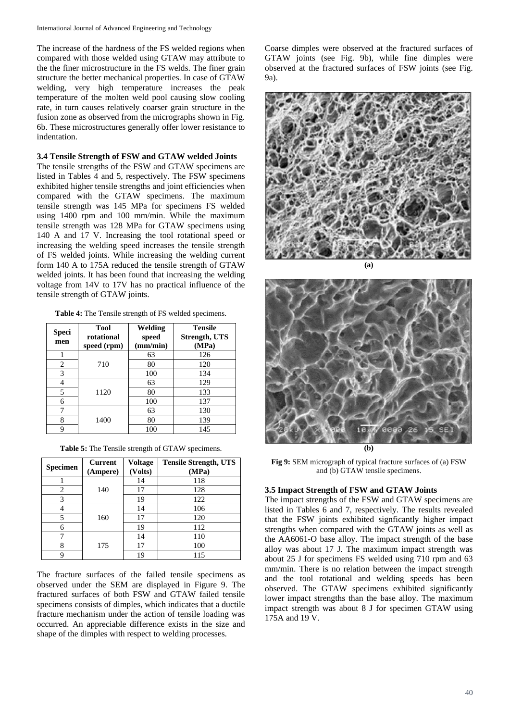The increase of the hardness of the FS welded regions when compared with those welded using GTAW may attribute to the the finer microstructure in the FS welds. The finer grain structure the better mechanical properties. In case of GTAW welding, very high temperature increases the peak temperature of the molten weld pool causing slow cooling rate, in turn causes relatively coarser grain structure in the fusion zone as observed from the micrographs shown in Fig. 6b. These microstructures generally offer lower resistance to indentation.

#### **3.4 Tensile Strength of FSW and GTAW welded Joints**

The tensile strengths of the FSW and GTAW specimens are listed in Tables 4 and 5, respectively. The FSW specimens exhibited higher tensile strengths and joint efficiencies when compared with the GTAW specimens. The maximum tensile strength was 145 MPa for specimens FS welded using 1400 rpm and 100 mm/min. While the maximum tensile strength was 128 MPa for GTAW specimens using 140 A and 17 V. Increasing the tool rotational speed or increasing the welding speed increases the tensile strength of FS welded joints. While increasing the welding current form 140 A to 175A reduced the tensile strength of GTAW welded joints. It has been found that increasing the welding voltage from 14V to 17V has no practical influence of the tensile strength of GTAW joints.

**Table 4:** The Tensile strength of FS welded specimens.

| Speci<br>men | Tool<br>rotational<br>speed (rpm) | Welding<br>speed<br>(mm/min) | <b>Tensile</b><br>Strength, UTS<br>(MPa) |
|--------------|-----------------------------------|------------------------------|------------------------------------------|
|              |                                   | 63                           | 126                                      |
| 2            | 710                               | 80                           | 120                                      |
| 3            |                                   | 100                          | 134                                      |
|              |                                   | 63                           | 129                                      |
| 5            | 1120                              | 80                           | 133                                      |
| 6            |                                   | 100                          | 137                                      |
|              |                                   | 63                           | 130                                      |
| 8            | 1400                              | 80                           | 139                                      |
| 9            |                                   | 100                          | 145                                      |

|  |  | Table 5: The Tensile strength of GTAW specimens. |
|--|--|--------------------------------------------------|
|  |  |                                                  |

| <b>Specimen</b> | Current  | <b>Voltage</b> | <b>Tensile Strength, UTS</b> |
|-----------------|----------|----------------|------------------------------|
|                 | (Ampere) | (Volts)        | (MPa)                        |
|                 |          | 14             | 118                          |
| 2               | 140      | 17             | 128                          |
| 3               |          | 19             | 122                          |
|                 |          | 14             | 106                          |
|                 | 160      | 17             | 120                          |
| 6               |          | 19             | 112                          |
|                 |          | 14             | 110                          |
| 8               | 175      | 17             | 100                          |
| Q               |          | 19             | 115                          |

The fracture surfaces of the failed tensile specimens as observed under the SEM are displayed in Figure 9. The fractured surfaces of both FSW and GTAW failed tensile specimens consists of dimples, which indicates that a ductile fracture mechanism under the action of tensile loading was occurred. An appreciable difference exists in the size and shape of the dimples with respect to welding processes.

Coarse dimples were observed at the fractured surfaces of GTAW joints (see Fig. 9b), while fine dimples were observed at the fractured surfaces of FSW joints (see Fig. 9a).





**Fig 9:** SEM micrograph of typical fracture surfaces of (a) FSW and (b) GTAW tensile specimens.

#### **3.5 Impact Strength of FSW and GTAW Joints**

The impact strengths of the FSW and GTAW specimens are listed in Tables 6 and 7, respectively. The results revealed that the FSW joints exhibited signficantly higher impact strengths when compared with the GTAW joints as well as the AA6061-O base alloy. The impact strength of the base alloy was about 17 J. The maximum impact strength was about 25 J for specimens FS welded using 710 rpm and 63 mm/min. There is no relation between the impact strength and the tool rotational and welding speeds has been observed. The GTAW specimens exhibited significantly lower impact strengths than the base alloy. The maximum impact strength was about 8 J for specimen GTAW using 175A and 19 V.